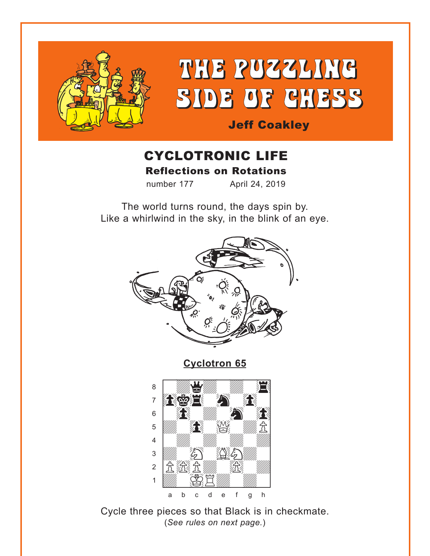<span id="page-0-0"></span>

# THE PUZZLING **SIDE OF CHESS**

# **Jeff Coakley**

# **CYCLOTRONIC LIFE Reflections on Rotations**

number 177 April 24, 2019

The world turns round, the days spin by. Like a whirlwind in the sky, in the blink of an eye.



**Cyclotron 65** 



Cycle three pieces so that Black is in checkmate. (See rules on next page.)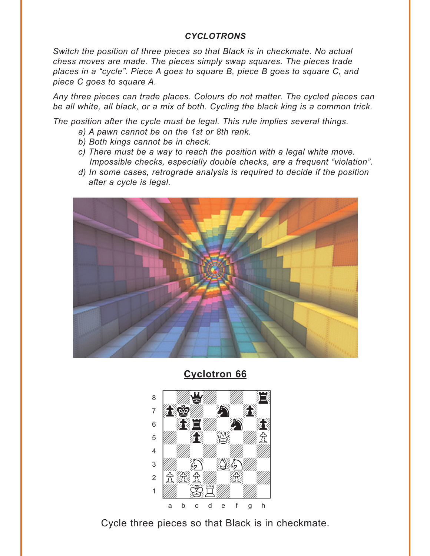#### **CYCLOTRONS**

<span id="page-1-0"></span>Switch the position of three pieces so that Black is in checkmate. No actual chess moves are made. The pieces simply swap squares. The pieces trade places in a "cycle". Piece A goes to square B, piece B goes to square C, and piece C goes to square A.

Any three pieces can trade places. Colours do not matter. The cycled pieces can be all white, all black, or a mix of both. Cycling the black king is a common trick.

The position after the cycle must be legal. This rule implies several things.

- a) A pawn cannot be on the 1st or 8th rank.
- b) Both kings cannot be in check.
- c) There must be a way to reach the position with a legal white move. Impossible checks, especially double checks, are a frequent "violation".
- d) In some cases, retrograde analysis is required to decide if the position after a cycle is legal.



**Cyclotron 66** 



Cycle three pieces so that Black is in checkmate.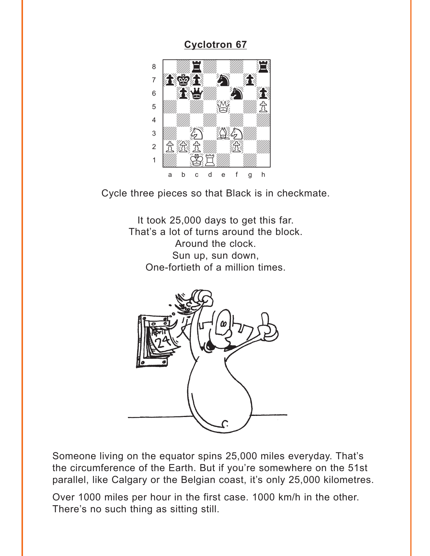<span id="page-2-0"></span>

Cycle three pieces so that Black is in checkmate.

It took 25,000 days to get this far. That's a lot of turns around the block. Around the clock. Sun up, sun down, One-fortieth of a million times.



Someone living on the equator spins 25,000 miles everyday. That's the circumference of the Earth. But if you're somewhere on the 51st parallel, like Calgary or the Belgian coast, it's only 25,000 kilometres.

Over 1000 miles per hour in the first case. 1000 km/h in the other. There's no such thing as sitting still.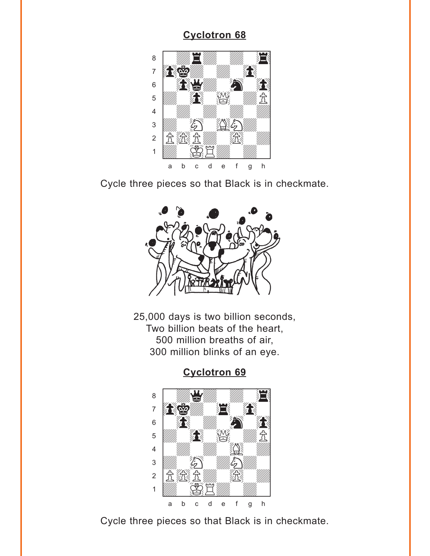<span id="page-3-0"></span>

Cycle three pieces so that Black is in checkmate.



25,000 days is two billion seconds, Two billion beats of the heart, 500 million breaths of air, 300 million blinks of an eye.

### **[Cyclotron 69](#page-8-0)**



Cycle three pieces so that Black is in checkmate.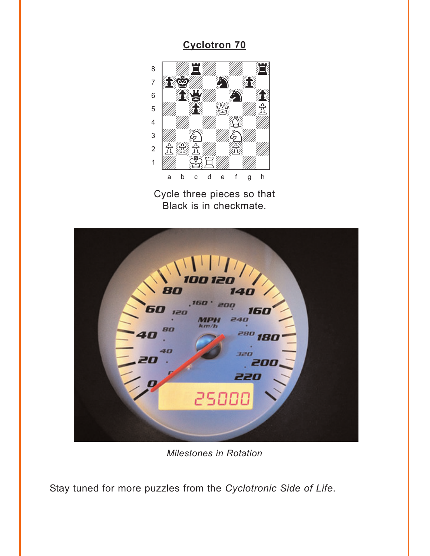<span id="page-4-0"></span>

Cycle three pieces so that Black is in checkmate.



**Milestones in Rotation** 

Stay tuned for more puzzles from the Cyclotronic Side of Life.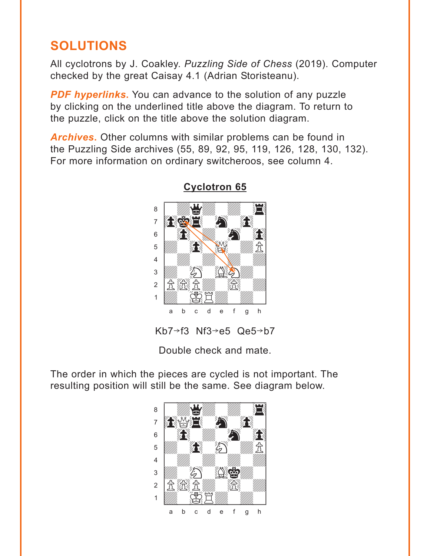# <span id="page-5-0"></span>**SOLUTIONS**

All cyclotrons by J. Coakley. *Puzzling Side of Chess* (2019). Computer checked by the great Caisay 4.1 (Adrian Storisteanu).

**PDF hyperlinks.** You can advance to the solution of any puzzle by clicking on the underlined title above the diagram. To return to the puzzle, click on the title above the solution diagram.

*Archives***.** Other columns with similar problems can be found in the Puzzling Side archives (55, 89, 92, 95, 119, 126, 128, 130, 132). For more information on ordinary switcheroos, see column 4.



#### **[Cyclotron 65](#page-0-0)**

Kb7 $\rightarrow$ f3 Nf3 $\rightarrow$ e5 Qe5 $\rightarrow$ b7

Double check and mate.

The order in which the pieces are cycled is not important. The resulting position will still be the same. See diagram below.

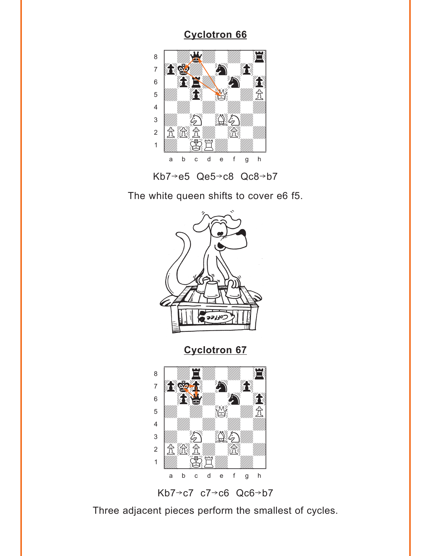<span id="page-6-0"></span>



The white queen shifts to cover e6 f5.



Kb7 $\rightarrow$ c7 c7 $\rightarrow$ c6 Qc6 $\rightarrow$ b7

Three adjacent pieces perform the smallest of cycles.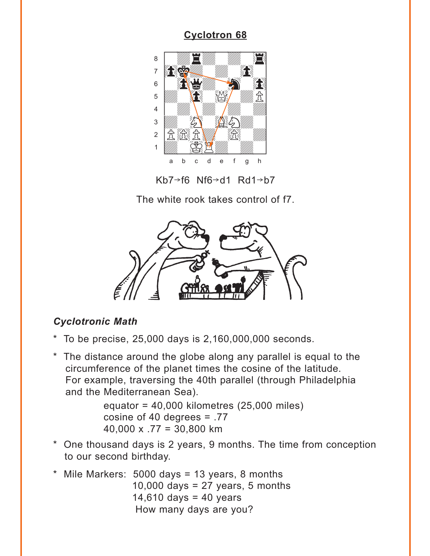<span id="page-7-0"></span>

 $Kb7 \rightarrow f6$  Nf6 $\rightarrow$ d1 Rd1 $\rightarrow b7$ 

The white rook takes control of f7.



## **Cyclotronic Math**

- $*$  To be precise, 25,000 days is 2,160,000,000 seconds.
- \* The distance around the globe along any parallel is equal to the circumference of the planet times the cosine of the latitude. For example, traversing the 40th parallel (through Philadelphia and the Mediterranean Sea).

equator =  $40,000$  kilometres (25,000 miles) cosine of 40 degrees  $= .77$  $40,000 \times .77 = 30,800$  km

- \* One thousand days is 2 years, 9 months. The time from conception to our second birthday.
- \* Mile Markers: 5000 days = 13 years, 8 months 10,000 days =  $27$  years, 5 months 14,610 days = 40 years How many days are you?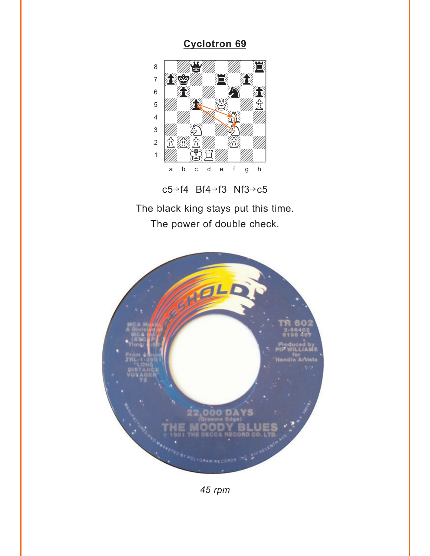<span id="page-8-0"></span>

 $c5 \rightarrow f4$  Bf4 $\rightarrow$ f3 Nf3 $\rightarrow$ c5

The black king stays put this time. The power of double check.



45 rpm